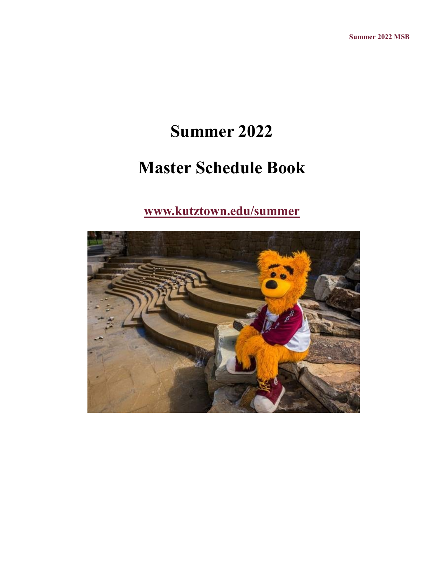# **Summer 2022**

# **Master Schedule Book**

### **[www.kutztown.edu/summer](file:///C:/Users/walton/Documents/Baby)**

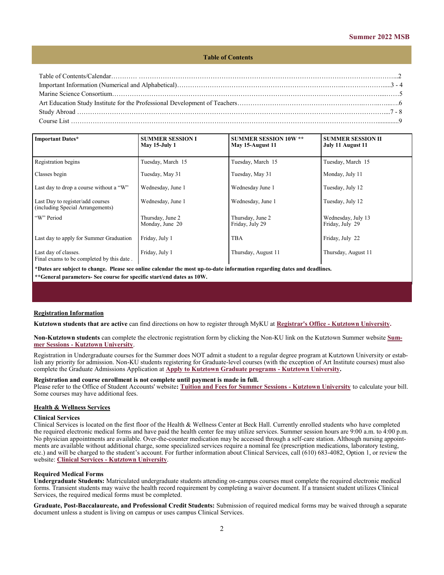#### **Table of Contents**

| 8 - 7 - 8 - 7 - 8 - 7 - 8 - 7 - 8 - 7 - 8 - 7 - 8 - 7 - 8 - 7 - 8 - 7 - 8 - 7 - 8 - 7 - 8 - 7 - 8 - 7 - 8 - 7 - 8 - 7 - 8 - 7 - 8 - 7 - 8 - 7 - 8 - 7 - 8 - 7 - 8 - 7 - 8 - 7 - 8 - 7 - 8 - 7 - 8 - 7 - 8 - 7 - 8 - 7 - 8 - 7 |  |
|-------------------------------------------------------------------------------------------------------------------------------------------------------------------------------------------------------------------------------|--|
|                                                                                                                                                                                                                               |  |

| <b>Important Dates*</b>                                              | <b>SUMMER SESSION I</b><br>May 15-July 1 | <b>SUMMER SESSION 10W **</b><br>May 15-August 11 | <b>SUMMER SESSION II</b><br>July 11 August 11 |
|----------------------------------------------------------------------|------------------------------------------|--------------------------------------------------|-----------------------------------------------|
| Registration begins                                                  | Tuesday, March 15                        | Tuesday, March 15                                | Tuesday, March 15                             |
| Classes begin                                                        | Tuesday, May 31                          | Tuesday, May 31                                  | Monday, July 11                               |
| Last day to drop a course without a "W"                              | Wednesday, June 1                        | Wednesday June 1                                 | Tuesday, July 12                              |
| Last Day to register/add courses<br>(including Special Arrangements) | Wednesday, June 1                        | Wednesday, June 1                                | Tuesday, July 12                              |
| "W" Period                                                           | Thursday, June 2<br>Monday, June 20      | Thursday, June 2<br>Friday, July 29              | Wednesday, July 13<br>Friday, July 29         |
| Last day to apply for Summer Graduation                              | Friday, July 1                           | <b>TBA</b>                                       | Friday, July 22                               |
| Last day of classes.<br>Final exams to be completed by this date.    | Friday, July 1                           | Thursday, August 11                              | Thursday, August 11                           |

**\*Dates are subject to change. Please see online calendar the most up-to-date information regarding dates and deadlines. \*\*General parameters- See course for specific start/end dates as 10W.**

#### **Registration Information**

**Kutztown students that are active** can find directions on how to register through MyKU at **Registrar's Office - [Kutztown University.](https://www.kutztown.edu/about-ku/administrative-offices/registrar.html)** 

**[N](https://www.kutztown.edu/about-ku/administrative-offices/information-technology/myku-information/students.htm)on-Kutztown students** can complete the electronic registration form by clicking the Non-KU link on the Kutztown Summer website **[Sum](https://www.kutztown.edu/academics/summer-and-winter-education/summer-sessions.html)mer Sessions - [Kutztown University](https://www.kutztown.edu/academics/summer-and-winter-education/summer-sessions.html)**.

Registration in Undergraduate courses for the Summer does NOT admit a student to a regular degree program at Kutztown University or establish any priority for admission. Non-KU students registering for Graduate-level courses (with the exception of Art Institute courses) must also complete the Graduate Admissions Application at **[Apply to Kutztown Graduate programs](https://www.kutztown.edu/admissions/apply/graduate-admissions/apply.html) - Kutztown University.**

#### **Registration and course enrollment is not complete until payment is made in full.**

Please refer to the Office of Student Accounts' website**: [Tuition and Fees for Summer Sessions](https://www.kutztown.edu/affordability/tuition-and-fees-(summer).html) - Kutztown University** to calculate your bill. Some courses may have additional fees.

#### **Health & Wellness Services**

#### **Clinical Services**

Clinical Services is located on the first floor of the Health & Wellness Center at Beck Hall. Currently enrolled students who have completed the required electronic medical forms and have paid the health center fee may utilize services. Summer session hours are 9:00 a.m. to 4:00 p.m. No physician appointments are available. Over-the-counter medication may be accessed through a self-care station. Although nursing appointments are available without additional charge, some specialized services require a nominal fee (prescription medications, laboratory testing, etc.) and will be charged to the student's account. For further information about Clinical Services, call (610) 683-4082, Option 1, or review the website: **Clinical Services - [Kutztown University](https://www.kutztown.edu/about-ku/administrative-offices/health-and-wellness-services/clinical-services.html)**.

#### **Required Medical Forms**

**Undergraduate Students:** Matriculated undergraduate students attending on-campus courses must complete the required electronic medical forms. Transient students may waive the health record requirement by completing a waiver document. If a transient student utilizes Clinical Services, the required medical forms must be completed.

**Graduate, Post-Baccalaureate, and Professional Credit Students:** Submission of required medical forms may be waived through a separate document unless a student is living on campus or uses campus Clinical Services.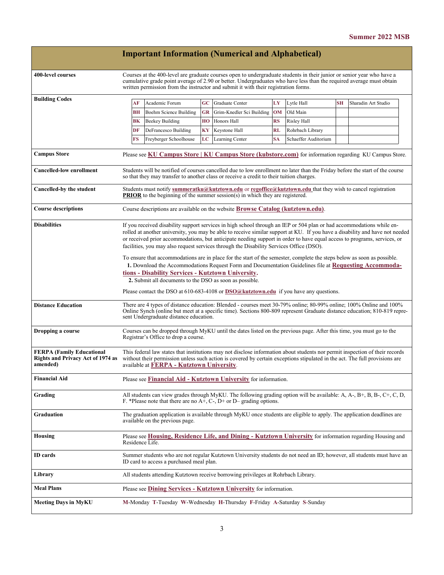|                                                                                          |                                                                                                                                                                                                                                                                                                                                                                                                                                                                                                                                                                                                                                                                                                                                                                                                                                                                                                                                       |                                                                                                                                                                                                                                                                                           |                        |          | <b>Important Information (Numerical and Alphabetical)</b>                                                                                                                                                                                                                                                                             |           |                      |           |                                                                                                        |
|------------------------------------------------------------------------------------------|---------------------------------------------------------------------------------------------------------------------------------------------------------------------------------------------------------------------------------------------------------------------------------------------------------------------------------------------------------------------------------------------------------------------------------------------------------------------------------------------------------------------------------------------------------------------------------------------------------------------------------------------------------------------------------------------------------------------------------------------------------------------------------------------------------------------------------------------------------------------------------------------------------------------------------------|-------------------------------------------------------------------------------------------------------------------------------------------------------------------------------------------------------------------------------------------------------------------------------------------|------------------------|----------|---------------------------------------------------------------------------------------------------------------------------------------------------------------------------------------------------------------------------------------------------------------------------------------------------------------------------------------|-----------|----------------------|-----------|--------------------------------------------------------------------------------------------------------|
| 400-level courses                                                                        |                                                                                                                                                                                                                                                                                                                                                                                                                                                                                                                                                                                                                                                                                                                                                                                                                                                                                                                                       |                                                                                                                                                                                                                                                                                           |                        |          | Courses at the 400-level are graduate courses open to undergraduate students in their junior or senior year who have a<br>cumulative grade point average of 2.90 or better. Undergraduates who have less than the required average must obtain<br>written permission from the instructor and submit it with their registration forms. |           |                      |           |                                                                                                        |
| <b>Building Codes</b>                                                                    |                                                                                                                                                                                                                                                                                                                                                                                                                                                                                                                                                                                                                                                                                                                                                                                                                                                                                                                                       | AF                                                                                                                                                                                                                                                                                        | Academic Forum         | $\bf GC$ | <b>Graduate Center</b>                                                                                                                                                                                                                                                                                                                | LY        | Lytle Hall           | <b>SH</b> | Sharadin Art Studio                                                                                    |
|                                                                                          |                                                                                                                                                                                                                                                                                                                                                                                                                                                                                                                                                                                                                                                                                                                                                                                                                                                                                                                                       | <b>BH</b>                                                                                                                                                                                                                                                                                 | Boehm Science Building | GR       | Grim-Knedler Sci Building                                                                                                                                                                                                                                                                                                             | <b>OM</b> | Old Main             |           |                                                                                                        |
|                                                                                          |                                                                                                                                                                                                                                                                                                                                                                                                                                                                                                                                                                                                                                                                                                                                                                                                                                                                                                                                       | BK                                                                                                                                                                                                                                                                                        | <b>Beekey Building</b> | HО       | Honors Hall                                                                                                                                                                                                                                                                                                                           | RS        | Risley Hall          |           |                                                                                                        |
|                                                                                          |                                                                                                                                                                                                                                                                                                                                                                                                                                                                                                                                                                                                                                                                                                                                                                                                                                                                                                                                       | DF                                                                                                                                                                                                                                                                                        | DeFrancesco Building   | KY       | Keystone Hall                                                                                                                                                                                                                                                                                                                         | RL        | Rohrbach Library     |           |                                                                                                        |
|                                                                                          |                                                                                                                                                                                                                                                                                                                                                                                                                                                                                                                                                                                                                                                                                                                                                                                                                                                                                                                                       | FS                                                                                                                                                                                                                                                                                        | Freyberger Schoolhouse | LC       | Learning Center                                                                                                                                                                                                                                                                                                                       | <b>SA</b> | Schaeffer Auditorium |           |                                                                                                        |
| <b>Campus Store</b>                                                                      |                                                                                                                                                                                                                                                                                                                                                                                                                                                                                                                                                                                                                                                                                                                                                                                                                                                                                                                                       |                                                                                                                                                                                                                                                                                           |                        |          |                                                                                                                                                                                                                                                                                                                                       |           |                      |           | Please see KU Campus Store   KU Campus Store (kubstore.com) for information regarding KU Campus Store. |
| <b>Cancelled-low enrollment</b>                                                          |                                                                                                                                                                                                                                                                                                                                                                                                                                                                                                                                                                                                                                                                                                                                                                                                                                                                                                                                       | Students will be notified of courses cancelled due to low enrollment no later than the Friday before the start of the course<br>so that they may transfer to another class or receive a credit to their tuition charges.                                                                  |                        |          |                                                                                                                                                                                                                                                                                                                                       |           |                      |           |                                                                                                        |
| Cancelled-by the student                                                                 |                                                                                                                                                                                                                                                                                                                                                                                                                                                                                                                                                                                                                                                                                                                                                                                                                                                                                                                                       | Students must notify summeratku@kutztown.edu or regoffice@kutztown.edu that they wish to cancel registration<br><b>PRIOR</b> to the beginning of the summer session(s) in which they are registered.                                                                                      |                        |          |                                                                                                                                                                                                                                                                                                                                       |           |                      |           |                                                                                                        |
| <b>Course descriptions</b>                                                               |                                                                                                                                                                                                                                                                                                                                                                                                                                                                                                                                                                                                                                                                                                                                                                                                                                                                                                                                       | Course descriptions are available on the website <b>Browse Catalog (kutztown.edu)</b> .                                                                                                                                                                                                   |                        |          |                                                                                                                                                                                                                                                                                                                                       |           |                      |           |                                                                                                        |
| <b>Disabilities</b>                                                                      | If you received disability support services in high school through an IEP or 504 plan or had accommodations while en-<br>rolled at another university, you may be able to receive similar support at KU. If you have a disability and have not needed<br>or received prior accommodations, but anticipate needing support in order to have equal access to programs, services, or<br>facilities, you may also request services through the Disability Services Office (DSO).<br>To ensure that accommodations are in place for the start of the semester, complete the steps below as soon as possible.<br>1. Download the Accommodations Request Form and Documentation Guidelines file at Requesting Accommoda-<br>tions - Disability Services - Kutztown University.<br>2. Submit all documents to the DSO as soon as possible.<br>Please contact the DSO at 610-683-4108 or $DSO(\alpha)$ kutztown.edu if you have any questions. |                                                                                                                                                                                                                                                                                           |                        |          |                                                                                                                                                                                                                                                                                                                                       |           |                      |           |                                                                                                        |
| <b>Distance Education</b>                                                                |                                                                                                                                                                                                                                                                                                                                                                                                                                                                                                                                                                                                                                                                                                                                                                                                                                                                                                                                       | There are 4 types of distance education: Blended - courses meet 30-79% online; 80-99% online; 100% Online and 100%<br>Online Synch (online but meet at a specific time). Sections 800-809 represent Graduate distance education; 810-819 repre-<br>sent Undergraduate distance education. |                        |          |                                                                                                                                                                                                                                                                                                                                       |           |                      |           |                                                                                                        |
| Dropping a course                                                                        | Courses can be dropped through MyKU until the dates listed on the previous page. After this time, you must go to the<br>Registrar's Office to drop a course.                                                                                                                                                                                                                                                                                                                                                                                                                                                                                                                                                                                                                                                                                                                                                                          |                                                                                                                                                                                                                                                                                           |                        |          |                                                                                                                                                                                                                                                                                                                                       |           |                      |           |                                                                                                        |
| <b>FERPA (Family Educational</b><br><b>Rights and Privacy Act of 1974 as</b><br>amended) | This federal law states that institutions may not disclose information about students nor permit inspection of their records<br>without their permission unless such action is covered by certain exceptions stipulated in the act. The full provisions are<br>available at FERPA - Kutztown University.                                                                                                                                                                                                                                                                                                                                                                                                                                                                                                                                                                                                                              |                                                                                                                                                                                                                                                                                           |                        |          |                                                                                                                                                                                                                                                                                                                                       |           |                      |           |                                                                                                        |
| <b>Financial Aid</b>                                                                     |                                                                                                                                                                                                                                                                                                                                                                                                                                                                                                                                                                                                                                                                                                                                                                                                                                                                                                                                       |                                                                                                                                                                                                                                                                                           |                        |          | Please see <b>Financial Aid - Kutztown University</b> for information.                                                                                                                                                                                                                                                                |           |                      |           |                                                                                                        |
| Grading                                                                                  | All students can view grades through MyKU. The following grading option will be available: A, A-, B+, B, B-, C+, C, D,<br>F. *Please note that there are no $A+$ , C-, D+ or D– grading options.                                                                                                                                                                                                                                                                                                                                                                                                                                                                                                                                                                                                                                                                                                                                      |                                                                                                                                                                                                                                                                                           |                        |          |                                                                                                                                                                                                                                                                                                                                       |           |                      |           |                                                                                                        |
| Graduation                                                                               | The graduation application is available through MyKU once students are eligible to apply. The application deadlines are<br>available on the previous page.                                                                                                                                                                                                                                                                                                                                                                                                                                                                                                                                                                                                                                                                                                                                                                            |                                                                                                                                                                                                                                                                                           |                        |          |                                                                                                                                                                                                                                                                                                                                       |           |                      |           |                                                                                                        |
| <b>Housing</b>                                                                           | Please see Housing, Residence Life, and Dining - Kutztown University for information regarding Housing and<br>Residence Life.                                                                                                                                                                                                                                                                                                                                                                                                                                                                                                                                                                                                                                                                                                                                                                                                         |                                                                                                                                                                                                                                                                                           |                        |          |                                                                                                                                                                                                                                                                                                                                       |           |                      |           |                                                                                                        |
| <b>ID</b> cards                                                                          | Summer students who are not regular Kutztown University students do not need an ID; however, all students must have an<br>ID card to access a purchased meal plan.                                                                                                                                                                                                                                                                                                                                                                                                                                                                                                                                                                                                                                                                                                                                                                    |                                                                                                                                                                                                                                                                                           |                        |          |                                                                                                                                                                                                                                                                                                                                       |           |                      |           |                                                                                                        |
| Library                                                                                  |                                                                                                                                                                                                                                                                                                                                                                                                                                                                                                                                                                                                                                                                                                                                                                                                                                                                                                                                       |                                                                                                                                                                                                                                                                                           |                        |          | All students attending Kutztown receive borrowing privileges at Rohrbach Library.                                                                                                                                                                                                                                                     |           |                      |           |                                                                                                        |
| <b>Meal Plans</b>                                                                        |                                                                                                                                                                                                                                                                                                                                                                                                                                                                                                                                                                                                                                                                                                                                                                                                                                                                                                                                       |                                                                                                                                                                                                                                                                                           |                        |          | Please see <b>Dining Services - Kutztown University</b> for information.                                                                                                                                                                                                                                                              |           |                      |           |                                                                                                        |
| <b>Meeting Days in MyKU</b>                                                              |                                                                                                                                                                                                                                                                                                                                                                                                                                                                                                                                                                                                                                                                                                                                                                                                                                                                                                                                       |                                                                                                                                                                                                                                                                                           |                        |          | M-Monday T-Tuesday W-Wednesday H-Thursday F-Friday A-Saturday S-Sunday                                                                                                                                                                                                                                                                |           |                      |           |                                                                                                        |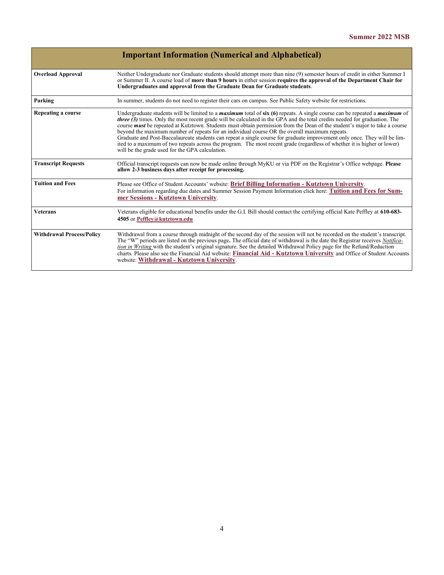|                                  | <b>Important Information (Numerical and Alphabetical)</b>                                                                                                                                                                                                                                                                                                                                                                                                                                                                                                                                                                                                                                                                                                                                                                         |
|----------------------------------|-----------------------------------------------------------------------------------------------------------------------------------------------------------------------------------------------------------------------------------------------------------------------------------------------------------------------------------------------------------------------------------------------------------------------------------------------------------------------------------------------------------------------------------------------------------------------------------------------------------------------------------------------------------------------------------------------------------------------------------------------------------------------------------------------------------------------------------|
| <b>Overload Approval</b>         | Neither Undergraduate nor Graduate students should attempt more than nine (9) semester hours of credit in either Summer I<br>or Summer II. A course load of more than 9 hours in either session requires the approval of the Department Chair for<br>Undergraduates and approval from the Graduate Dean for Graduate students.                                                                                                                                                                                                                                                                                                                                                                                                                                                                                                    |
| Parking                          | In summer, students do not need to register their cars on campus. See Public Safety website for restrictions.                                                                                                                                                                                                                                                                                                                                                                                                                                                                                                                                                                                                                                                                                                                     |
| Repeating a course               | Undergraduate students will be limited to a <i>maximum</i> total of $\sin(6)$ repeats. A single course can be repeated a <i>maximum</i> of<br><i>three (3)</i> times. Only the most recent grade will be calculated in the GPA and the total credits needed for graduation. The<br>course <i>must</i> be repeated at Kutztown. Students must obtain permission from the Dean of the student's major to take a course<br>beyond the maximum number of repeats for an individual course OR the overall maximum repeats.<br>Graduate and Post-Baccalaureate students can repeat a single course for graduate improvement only once. They will be lim-<br>ited to a maximum of two repeats across the program. The most recent grade (regardless of whether it is higher or lower)<br>will be the grade used for the GPA calculation. |
| <b>Transcript Requests</b>       | Official transcript requests can now be made online through MyKU or via PDF on the Registrar's Office webpage. Please<br>allow 2-3 business days after receipt for processing.                                                                                                                                                                                                                                                                                                                                                                                                                                                                                                                                                                                                                                                    |
| <b>Tuition and Fees</b>          | Please see Office of Student Accounts' website: Brief Billing Information - Kutztown University.<br>For information regarding due dates and Summer Session Payment Information click here: Tuition and Fees for Sum-<br>mer Sessions - Kutztown University.                                                                                                                                                                                                                                                                                                                                                                                                                                                                                                                                                                       |
| <b>Veterans</b>                  | Veterans eligible for educational benefits under the G.I. Bill should contact the certifying official Kate Peffley at 610-683-<br>4505 or Peffley@kutztown.edu                                                                                                                                                                                                                                                                                                                                                                                                                                                                                                                                                                                                                                                                    |
| <b>Withdrawal Process/Policy</b> | Withdrawal from a course through midnight of the second day of the session will not be recorded on the student's transcript.<br>The "W" periods are listed on the previous page. The official date of withdrawal is the date the Registrar receives Notifica-<br>tion in Writing with the student's original signature. See the detailed Withdrawal Policy page for the Refund/Reduction<br>charts. Please also see the Financial Aid website: Financial Aid - Kutztown University and Office of Student Accounts<br>website: Withdrawal - Kutztown University.                                                                                                                                                                                                                                                                   |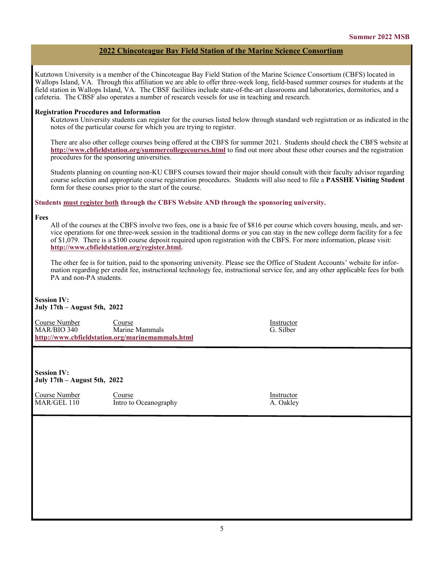#### **2022 Chincoteague Bay Field Station of the Marine Science Consortium**

Kutztown University is a member of the Chincoteague Bay Field Station of the Marine Science Consortium (CBFS) located in Wallops Island, VA. Through this affiliation we are able to offer three-week long, field-based summer courses for students at the field station in Wallops Island, VA. The CBSF facilities include state-of-the-art classrooms and laboratories, dormitories, and a cafeteria. The CBSF also operates a number of research vessels for use in teaching and research.

#### **Registration Procedures and Information**

Kutztown University students can register for the courses listed below through standard web registration or as indicated in the notes of the particular course for which you are trying to register.

There are also other college courses being offered at the CBFS for summer 2021. Students should check the CBFS website at **<http://www.cbfieldstation.org/summercollegecourses.html>** to find out more about these other courses and the registration procedures for the sponsoring universities.

Students planning on counting non-KU CBFS courses toward their major should consult with their faculty advisor regarding course selection and appropriate course registration procedures. Students will also need to file a **PASSHE Visiting Student**  form for these courses prior to the start of the course.

#### **Students must register both through the CBFS Website AND through the sponsoring university.**

#### **Fees**

All of the courses at the CBFS involve two fees, one is a basic fee of \$816 per course which covers housing, meals, and service operations for one three-week session in the traditional dorms or you can stay in the new college dorm facility for a fee of \$1,079. There is a \$100 course deposit required upon registration with the CBFS. For more information, please visit: **[http://www.cbfieldstation.org/register.html.](http://www.cbfieldstation.org/register.html)**

The other fee is for tuition, paid to the sponsoring university. Please see the Office of Student Accounts' website for information regarding per credit fee, instructional technology fee, instructional service fee, and any other applicable fees for both PA and non-PA students.

#### **Session IV: July 17th – August 5th, 2022**

Course Number Course Instructor MAR/BIO 340 Marine Mammals G. Silber **<http://www.cbfieldstation.org/marinemammals.html>**

**Session IV: July 17th – August 5th, 2022**

<u>Course Number</u> Course Course Course Instructor<br>
MAR/GEL 110 Intro to Oceanography A. Oakley Intro to Oceanography A. Oakley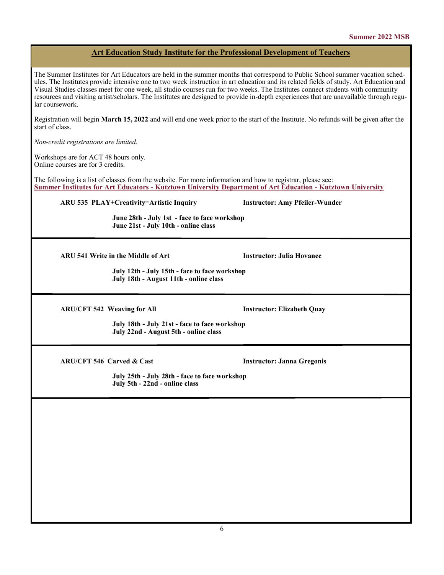#### **Art Education Study Institute for the Professional Development of Teachers**

The Summer Institutes for Art Educators are held in the summer months that correspond to Public School summer vacation schedules. The Institutes provide intensive one to two week instruction in art education and its related fields of study. Art Education and Visual Studies classes meet for one week, all studio courses run for two weeks. The Institutes connect students with community resources and visiting artist/scholars. The Institutes are designed to provide in-depth experiences that are unavailable through regular coursework.

Registration will begin **March 15, 2022** and will end one week prior to the start of the Institute. No refunds will be given after the start of class.

*Non-credit registrations are limited.*

Workshops are for ACT 48 hours only. Online courses are for 3 credits.

The following is a list of classes from the website. For more information and how to registrar, please see: **Summer Institutes for Art Educators - [Kutztown University Department of Art Education](https://www.kutztown.edu/academics/colleges-and-departments/visual-and-performing-arts/majors-minors-and-certificates/art-education/art-ed-summer-institutes.html) - Kutztown University**

**ARU 535 PLAY+Creativity=Artistic Inquiry Instructor: Amy Pfeiler-Wunder**

**June 28th - July 1st - face to face workshop June 21st - July 10th - online class**

**ARU 541 Write in the Middle of Art Instructor: Julia Hovanec**

**July 12th - July 15th - face to face workshop July 18th - August 11th - online class**

**ARU/CFT 542 Weaving for All Instructor: Elizabeth Quay**

 **July 18th - July 21st - face to face workshop July 22nd - August 5th - online class**

**ARU/CFT 546 Carved & Cast Instructor: Janna Gregonis**

**July 25th - July 28th - face to face workshop July 5th - 22nd - online class**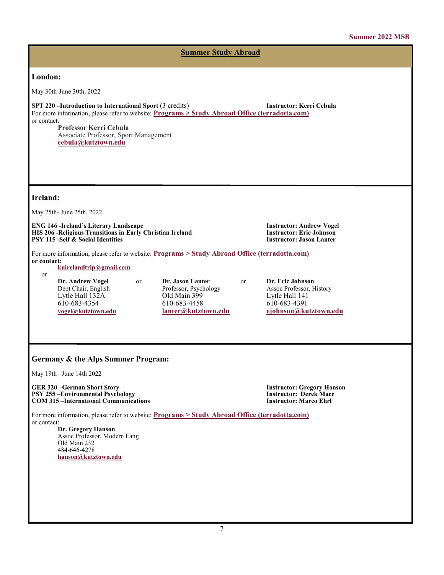### **London:** May 30th-June 30th, 2022 **SPT 220 –Introduction to International Sport** (3 credits) **Instructor: Kerri Cebula** For more information, please refer to website: **[Programs > Study Abroad Office \(terradotta.com\)](https://kutztown-sa.terradotta.com/index.cfm?FuseAction=Programs.ViewProgramAngular&id=45136)** or contact: **Professor Kerri Cebula** Associate Professor, Sport Management **[cebula@kutztown.edu](mailto:cebula@kutztown.edu) Ireland:** May 25th- June 25th, 2022 **ENG 146 -Ireland's Literary Landscape Instructor: Andrew Vogel HIS 206 -Religious Transitions in Early Christian Ireland Instructor: Eric Johnson PSY 115 -Self & Social Identities** For more information, please refer to website: **[Programs > Study Abroad Office \(terradotta.com\)](https://kutztown-sa.terradotta.com/index.cfm?FuseAction=Programs.ViewProgramAngular&id=33503) or contact: [kuirelandtrip@gmail.com](mailto:kuirelandtrip@gmail.com)** or **Dr. Andrew Vogel** or **Dr. Jason Lanter** or **Dr. Eric Johnson** Professor, Psychology Assoc Professor, Assoc Professor, Old Main 399 Lytle Hall 132A Old Main 399 Lytle Hall 141<br>
610-683-4354 610-683-4458 610-683-4391 610-683-4354 610-683-4458 610-683-4391 **[vogel@kutztown.edu](mailto:vogel@kutztown.edu) [lanter@kutztown.edu](mailto:lanter@kutztown.edu?subject=Study%20Abroad%20Program) [ejohnson@kutztown.edu](mailto:ejohnson@kutztown.edu?subject=Study%20Abroad%20Program) Germany & the Alps Summer Program:** May 19th –June 14th 2022 **GER 320 –German Short Story Instructor: Gregory Hanson PSY 255 –Environmental Psychology Instructor: Derek Mace COM 315 –International Communications** For more information, please refer to website: **[Programs > Study Abroad Office \(terradotta.com\)](https://kutztown-sa.terradotta.com/index.cfm?FuseAction=Programs.ViewProgramAngular&id=32665)** or contact: **Dr. Gregory Hanson** Assoc Professor, Modern Lang Old Main 232 484-646-4278 **[hanson@kutztown.edu](mailto:hanson@kutztown.edu) Summer Study Abroad**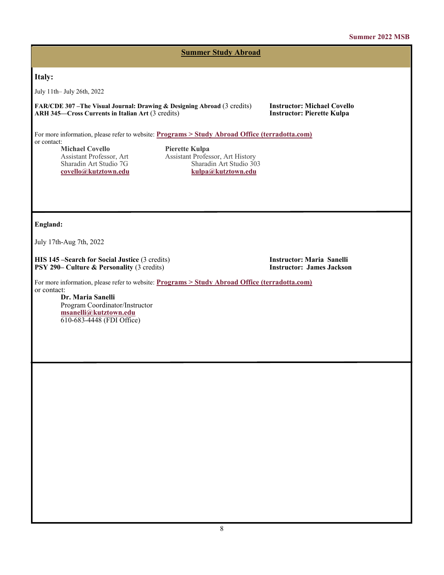#### **Summer 2022 MSB**

**Summer Study Abroad**

#### **Italy:**

July 11th– July 26th, 2022

**FAR/CDE 307 –The Visual Journal: Drawing & Designing Abroad** (3 credits) **Instructor: Michael Covello ARH 345–Cross Currents in Italian Art (3 credits)** 

For more information, please refer to website: **[Programs > Study Abroad Office \(terradotta.com\)](https://kutztown-sa.terradotta.com/index.cfm?FuseAction=Programs.ViewProgramAngular&id=37199)** or contact:

**Michael Covello Pierette Kulpa**<br> **Assistant Professor, Art Assistant Profes**  $covello@kutztown.edu$ 

Assistant Professor, Art Assistant Professor, Art History Sharadin Art Studio 303<br>kulpa@kutztown.edu

#### **England:**

July 17th-Aug 7th, 2022

**HIS 145 –Search for Social Justice** (3 credits) **Instructor: Maria Sanelli**<br> **PSY 290– Culture & Personality** (3 credits) **Instructor: James Jackson PSY 290– Culture & Personality (3 credits)** 

For more information, please refer to website: **[Programs > Study Abroad Office \(terradotta.com\)](https://kutztown-sa.terradotta.com/index.cfm?FuseAction=Programs.ViewProgramAngular&id=37107)** or contact:

**Dr. Maria Sanelli** Program Coordinator/Instructor **[msanelli@kutztown.edu](mailto:msanelli@kutztown.edu)** 610-683-4448 (FDI Office)